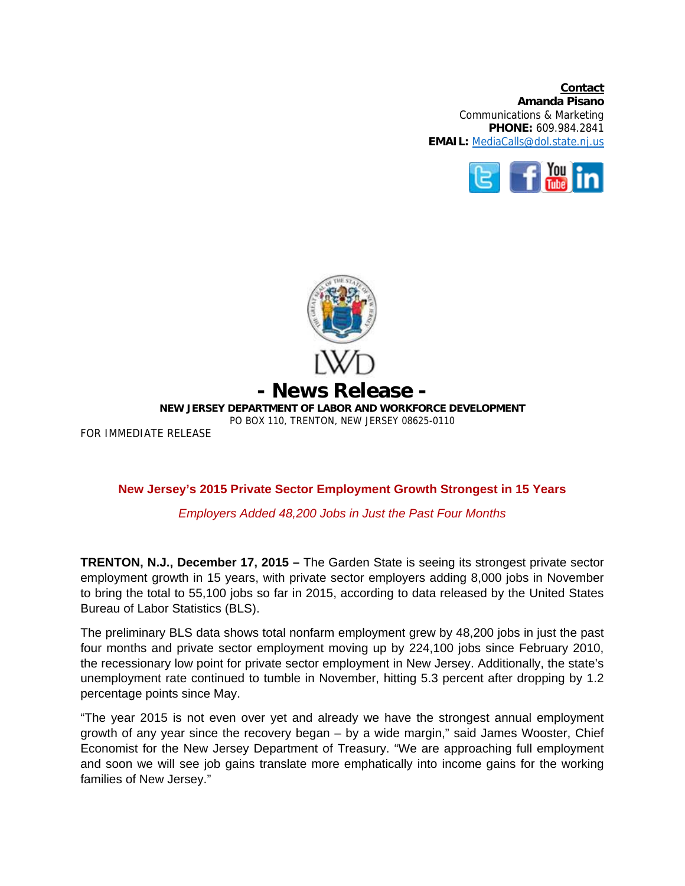**Contact Amanda Pisano**  Communications & Marketing **PHONE:** 609.984.2841 **EMAIL:** MediaCalls@dol.state.nj.us





## **New Jersey's 2015 Private Sector Employment Growth Strongest in 15 Years**

## *Employers Added 48,200 Jobs in Just the Past Four Months*

**TRENTON, N.J., December 17, 2015 –** The Garden State is seeing its strongest private sector employment growth in 15 years, with private sector employers adding 8,000 jobs in November to bring the total to 55,100 jobs so far in 2015, according to data released by the United States Bureau of Labor Statistics (BLS).

The preliminary BLS data shows total nonfarm employment grew by 48,200 jobs in just the past four months and private sector employment moving up by 224,100 jobs since February 2010, the recessionary low point for private sector employment in New Jersey. Additionally, the state's unemployment rate continued to tumble in November, hitting 5.3 percent after dropping by 1.2 percentage points since May.

"The year 2015 is not even over yet and already we have the strongest annual employment growth of any year since the recovery began – by a wide margin," said James Wooster, Chief Economist for the New Jersey Department of Treasury. "We are approaching full employment and soon we will see job gains translate more emphatically into income gains for the working families of New Jersey."